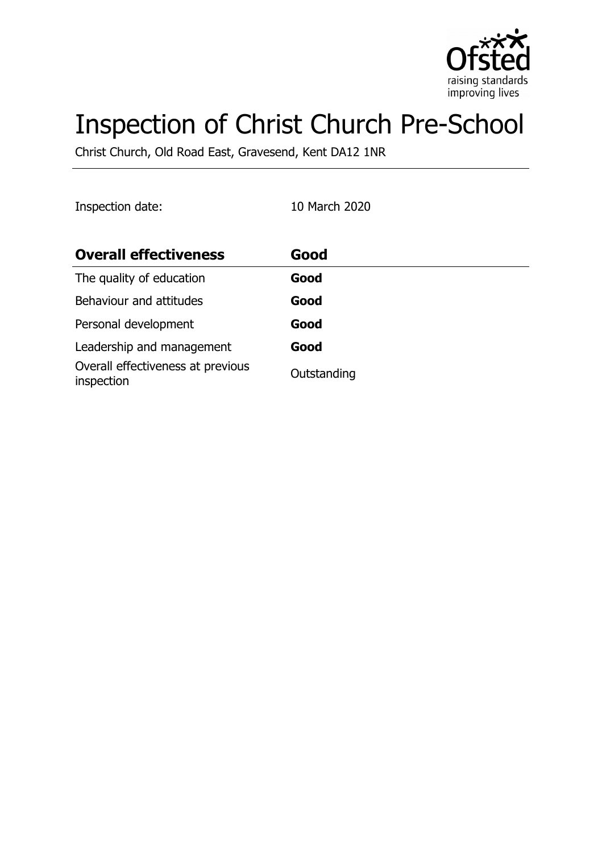

# Inspection of Christ Church Pre-School

Christ Church, Old Road East, Gravesend, Kent DA12 1NR

| Inspection date: |  |
|------------------|--|
|                  |  |

10 March 2020

| <b>Overall effectiveness</b>                    | Good        |
|-------------------------------------------------|-------------|
| The quality of education                        | Good        |
| Behaviour and attitudes                         | Good        |
| Personal development                            | Good        |
| Leadership and management                       | Good        |
| Overall effectiveness at previous<br>inspection | Outstanding |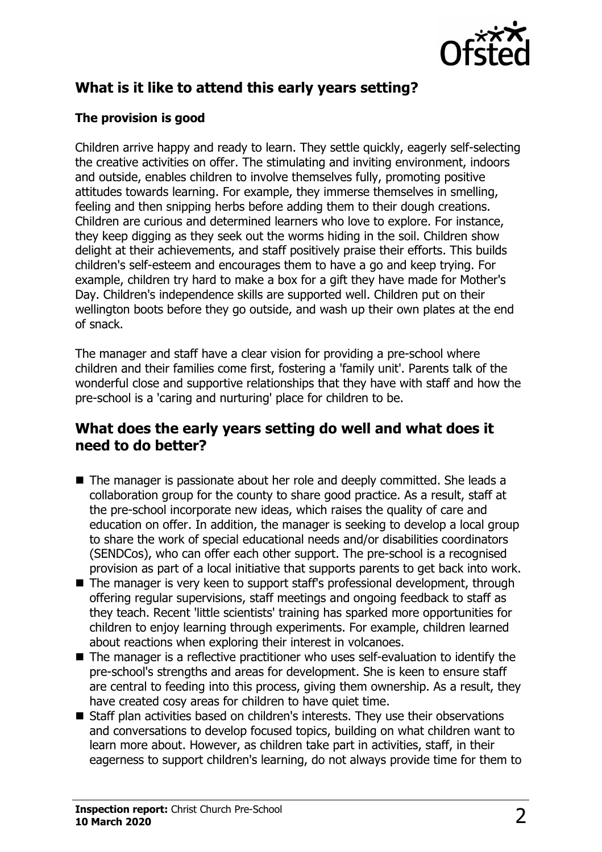

# **What is it like to attend this early years setting?**

### **The provision is good**

Children arrive happy and ready to learn. They settle quickly, eagerly self-selecting the creative activities on offer. The stimulating and inviting environment, indoors and outside, enables children to involve themselves fully, promoting positive attitudes towards learning. For example, they immerse themselves in smelling, feeling and then snipping herbs before adding them to their dough creations. Children are curious and determined learners who love to explore. For instance, they keep digging as they seek out the worms hiding in the soil. Children show delight at their achievements, and staff positively praise their efforts. This builds children's self-esteem and encourages them to have a go and keep trying. For example, children try hard to make a box for a gift they have made for Mother's Day. Children's independence skills are supported well. Children put on their wellington boots before they go outside, and wash up their own plates at the end of snack.

The manager and staff have a clear vision for providing a pre-school where children and their families come first, fostering a 'family unit'. Parents talk of the wonderful close and supportive relationships that they have with staff and how the pre-school is a 'caring and nurturing' place for children to be.

### **What does the early years setting do well and what does it need to do better?**

- The manager is passionate about her role and deeply committed. She leads a collaboration group for the county to share good practice. As a result, staff at the pre-school incorporate new ideas, which raises the quality of care and education on offer. In addition, the manager is seeking to develop a local group to share the work of special educational needs and/or disabilities coordinators (SENDCos), who can offer each other support. The pre-school is a recognised provision as part of a local initiative that supports parents to get back into work.
- $\blacksquare$  The manager is very keen to support staff's professional development, through offering regular supervisions, staff meetings and ongoing feedback to staff as they teach. Recent 'little scientists' training has sparked more opportunities for children to enjoy learning through experiments. For example, children learned about reactions when exploring their interest in volcanoes.
- $\blacksquare$  The manager is a reflective practitioner who uses self-evaluation to identify the pre-school's strengths and areas for development. She is keen to ensure staff are central to feeding into this process, giving them ownership. As a result, they have created cosy areas for children to have quiet time.
- Staff plan activities based on children's interests. They use their observations and conversations to develop focused topics, building on what children want to learn more about. However, as children take part in activities, staff, in their eagerness to support children's learning, do not always provide time for them to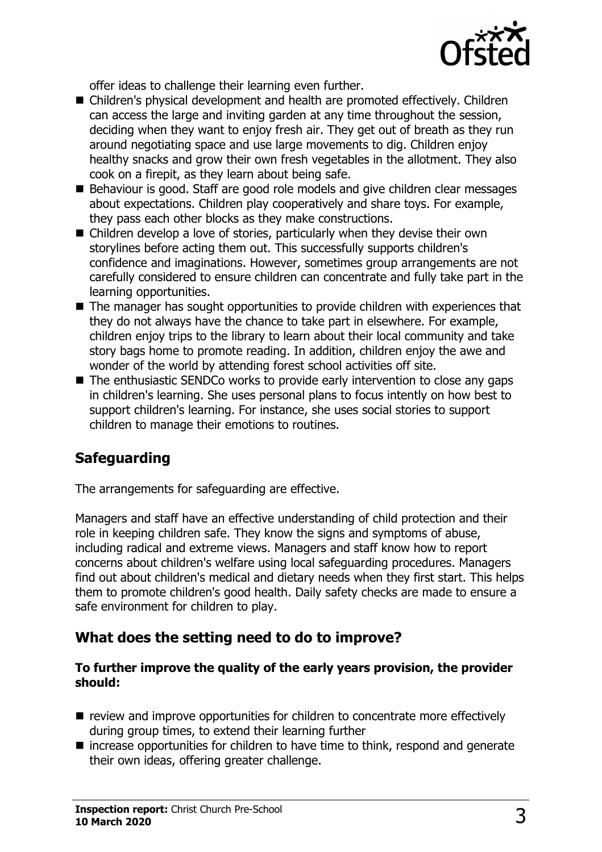

offer ideas to challenge their learning even further.

- Children's physical development and health are promoted effectively. Children can access the large and inviting garden at any time throughout the session, deciding when they want to enjoy fresh air. They get out of breath as they run around negotiating space and use large movements to dig. Children enjoy healthy snacks and grow their own fresh vegetables in the allotment. They also cook on a firepit, as they learn about being safe.
- Behaviour is good. Staff are good role models and give children clear messages about expectations. Children play cooperatively and share toys. For example, they pass each other blocks as they make constructions.
- $\blacksquare$  Children develop a love of stories, particularly when they devise their own storylines before acting them out. This successfully supports children's confidence and imaginations. However, sometimes group arrangements are not carefully considered to ensure children can concentrate and fully take part in the learning opportunities.
- $\blacksquare$  The manager has sought opportunities to provide children with experiences that they do not always have the chance to take part in elsewhere. For example, children enjoy trips to the library to learn about their local community and take story bags home to promote reading. In addition, children enjoy the awe and wonder of the world by attending forest school activities off site.
- $\blacksquare$  The enthusiastic SENDCo works to provide early intervention to close any gaps in children's learning. She uses personal plans to focus intently on how best to support children's learning. For instance, she uses social stories to support children to manage their emotions to routines.

# **Safeguarding**

The arrangements for safeguarding are effective.

Managers and staff have an effective understanding of child protection and their role in keeping children safe. They know the signs and symptoms of abuse, including radical and extreme views. Managers and staff know how to report concerns about children's welfare using local safeguarding procedures. Managers find out about children's medical and dietary needs when they first start. This helps them to promote children's good health. Daily safety checks are made to ensure a safe environment for children to play.

## **What does the setting need to do to improve?**

#### **To further improve the quality of the early years provision, the provider should:**

- $\blacksquare$  review and improve opportunities for children to concentrate more effectively during group times, to extend their learning further
- $\blacksquare$  increase opportunities for children to have time to think, respond and generate their own ideas, offering greater challenge.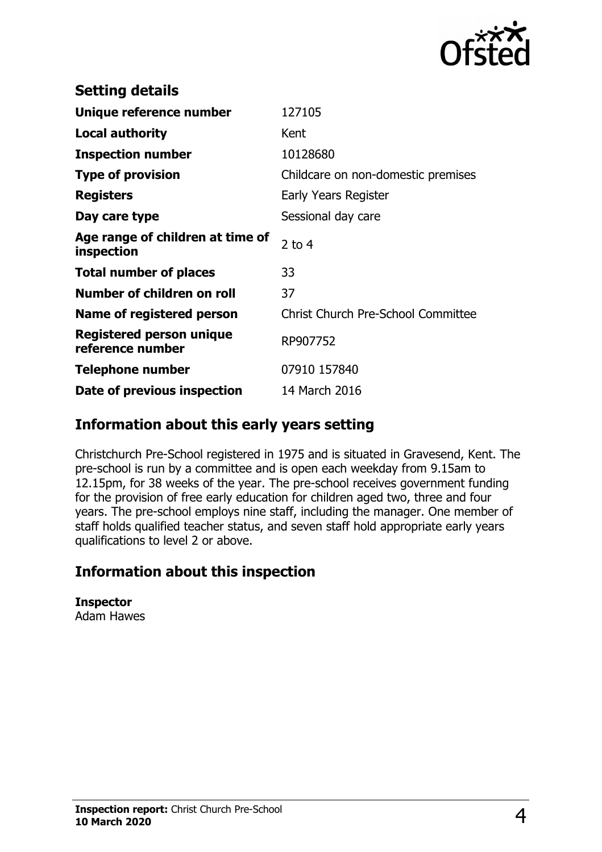

| <b>Setting details</b>                         |                                           |
|------------------------------------------------|-------------------------------------------|
| Unique reference number                        | 127105                                    |
| <b>Local authority</b>                         | Kent                                      |
| <b>Inspection number</b>                       | 10128680                                  |
| <b>Type of provision</b>                       | Childcare on non-domestic premises        |
| <b>Registers</b>                               | Early Years Register                      |
| Day care type                                  | Sessional day care                        |
| Age range of children at time of<br>inspection | $2$ to 4                                  |
| <b>Total number of places</b>                  | 33                                        |
| Number of children on roll                     | 37                                        |
| Name of registered person                      | <b>Christ Church Pre-School Committee</b> |
| Registered person unique<br>reference number   | RP907752                                  |
| <b>Telephone number</b>                        | 07910 157840                              |
| Date of previous inspection                    |                                           |

## **Information about this early years setting**

Christchurch Pre-School registered in 1975 and is situated in Gravesend, Kent. The pre-school is run by a committee and is open each weekday from 9.15am to 12.15pm, for 38 weeks of the year. The pre-school receives government funding for the provision of free early education for children aged two, three and four years. The pre-school employs nine staff, including the manager. One member of staff holds qualified teacher status, and seven staff hold appropriate early years qualifications to level 2 or above.

# **Information about this inspection**

**Inspector** Adam Hawes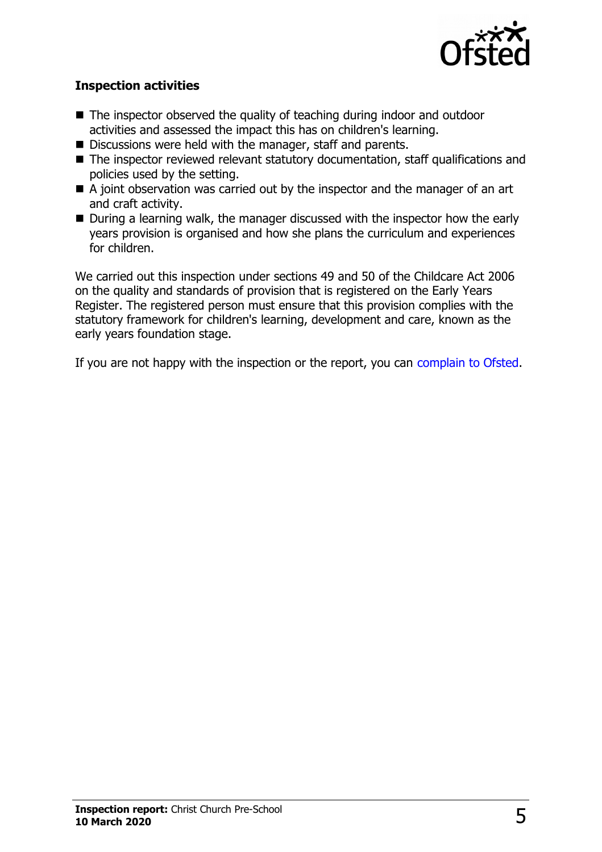

#### **Inspection activities**

- $\blacksquare$  The inspector observed the quality of teaching during indoor and outdoor activities and assessed the impact this has on children's learning.
- $\blacksquare$  Discussions were held with the manager, staff and parents.
- $\blacksquare$  The inspector reviewed relevant statutory documentation, staff qualifications and policies used by the setting.
- $\blacksquare$  A joint observation was carried out by the inspector and the manager of an art and craft activity.
- $\blacksquare$  During a learning walk, the manager discussed with the inspector how the early years provision is organised and how she plans the curriculum and experiences for children.

We carried out this inspection under sections 49 and 50 of the Childcare Act 2006 on the quality and standards of provision that is registered on the Early Years Register. The registered person must ensure that this provision complies with the statutory framework for children's learning, development and care, known as the early years foundation stage.

If you are not happy with the inspection or the report, you can [complain to Ofsted.](http://www.gov.uk/complain-ofsted-report)